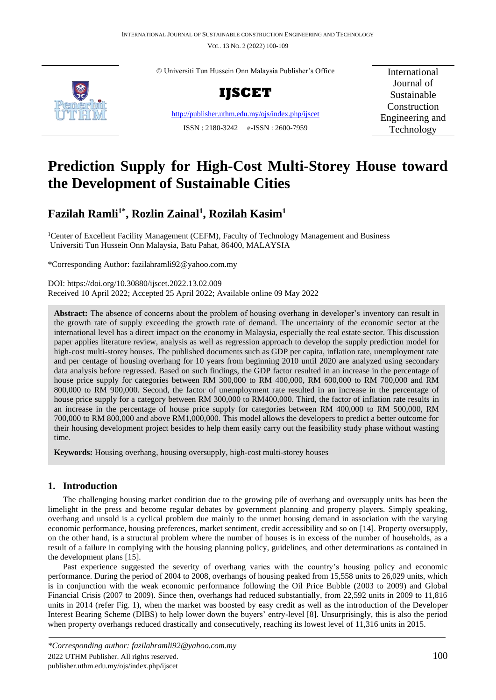VOL. 13 NO. 2 (2022) 100-109



© Universiti Tun Hussein Onn Malaysia Publisher's Office



<http://publisher.uthm.edu.my/ojs/index.php/ijscet> ISSN : 2180-3242 e-ISSN : 2600-7959

International Journal of Sustainable Construction Engineering and Technology

# **Prediction Supply for High-Cost Multi-Storey House toward the Development of Sustainable Cities**

## **Fazilah Ramli1\* , Rozlin Zainal<sup>1</sup> , Rozilah Kasim<sup>1</sup>**

<sup>1</sup>Center of Excellent Facility Management (CEFM), Faculty of Technology Management and Business Universiti Tun Hussein Onn Malaysia, Batu Pahat, 86400, MALAYSIA

\*Corresponding Author: fazilahramli92@yahoo.com.my

DOI: https://doi.org/10.30880/ijscet.2022.13.02.009 Received 10 April 2022; Accepted 25 April 2022; Available online 09 May 2022

**Abstract:** The absence of concerns about the problem of housing overhang in developer's inventory can result in the growth rate of supply exceeding the growth rate of demand. The uncertainty of the economic sector at the international level has a direct impact on the economy in Malaysia, especially the real estate sector. This discussion paper applies literature review, analysis as well as regression approach to develop the supply prediction model for high-cost multi-storey houses. The published documents such as GDP per capita, inflation rate, unemployment rate and per centage of housing overhang for 10 years from beginning 2010 until 2020 are analyzed using secondary data analysis before regressed. Based on such findings, the GDP factor resulted in an increase in the percentage of house price supply for categories between RM 300,000 to RM 400,000, RM 600,000 to RM 700,000 and RM 800,000 to RM 900,000. Second, the factor of unemployment rate resulted in an increase in the percentage of house price supply for a category between RM 300,000 to RM400,000. Third, the factor of inflation rate results in an increase in the percentage of house price supply for categories between RM 400,000 to RM 500,000, RM 700,000 to RM 800,000 and above RM1,000,000. This model allows the developers to predict a better outcome for their housing development project besides to help them easily carry out the feasibility study phase without wasting time.

**Keywords:** Housing overhang, housing oversupply, high-cost multi-storey houses

## **1. Introduction**

The challenging housing market condition due to the growing pile of overhang and oversupply units has been the limelight in the press and become regular debates by government planning and property players. Simply speaking, overhang and unsold is a cyclical problem due mainly to the unmet housing demand in association with the varying economic performance, housing preferences, market sentiment, credit accessibility and so on [14]. Property oversupply, on the other hand, is a structural problem where the number of houses is in excess of the number of households, as a result of a failure in complying with the housing planning policy, guidelines, and other determinations as contained in the development plans [15].

Past experience suggested the severity of overhang varies with the country's housing policy and economic performance. During the period of 2004 to 2008, overhangs of housing peaked from 15,558 units to 26,029 units, which is in conjunction with the weak economic performance following the Oil Price Bubble (2003 to 2009) and Global Financial Crisis (2007 to 2009). Since then, overhangs had reduced substantially, from 22,592 units in 2009 to 11,816 units in 2014 (refer Fig. 1), when the market was boosted by easy credit as well as the introduction of the Developer Interest Bearing Scheme (DIBS) to help lower down the buyers' entry-level [8]. Unsurprisingly, this is also the period when property overhangs reduced drastically and consecutively, reaching its lowest level of 11,316 units in 2015.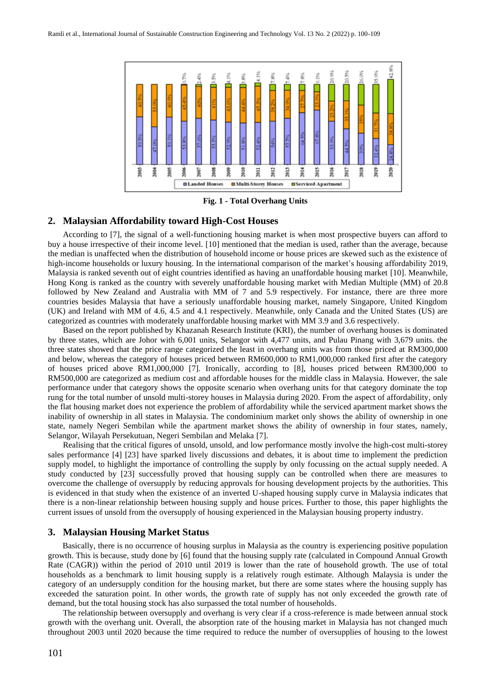

**Fig. 1 - Total Overhang Units**

#### **2. Malaysian Affordability toward High-Cost Houses**

According to [7], the signal of a well-functioning housing market is when most prospective buyers can afford to buy a house irrespective of their income level. [10] mentioned that the median is used, rather than the average, because the median is unaffected when the distribution of household income or house prices are skewed such as the existence of high-income households or luxury housing. In the international comparison of the market's housing affordability 2019, Malaysia is ranked seventh out of eight countries identified as having an unaffordable housing market [10]. Meanwhile, Hong Kong is ranked as the country with severely unaffordable housing market with Median Multiple (MM) of 20.8 followed by New Zealand and Australia with MM of 7 and 5.9 respectively. For instance, there are three more countries besides Malaysia that have a seriously unaffordable housing market, namely Singapore, United Kingdom (UK) and Ireland with MM of 4.6, 4.5 and 4.1 respectively. Meanwhile, only Canada and the United States (US) are categorized as countries with moderately unaffordable housing market with MM 3.9 and 3.6 respectively.

Based on the report published by Khazanah Research Institute (KRI), the number of overhang houses is dominated by three states, which are Johor with 6,001 units, Selangor with 4,477 units, and Pulau Pinang with 3,679 units. the three states showed that the price range categorized the least in overhang units was from those priced at RM300,000 and below, whereas the category of houses priced between RM600,000 to RM1,000,000 ranked first after the category of houses priced above RM1,000,000 [7]. Ironically, according to [8], houses priced between RM300,000 to RM500,000 are categorized as medium cost and affordable houses for the middle class in Malaysia. However, the sale performance under that category shows the opposite scenario when overhang units for that category dominate the top rung for the total number of unsold multi-storey houses in Malaysia during 2020. From the aspect of affordability, only the flat housing market does not experience the problem of affordability while the serviced apartment market shows the inability of ownership in all states in Malaysia. The condominium market only shows the ability of ownership in one state, namely Negeri Sembilan while the apartment market shows the ability of ownership in four states, namely, Selangor, Wilayah Persekutuan, Negeri Sembilan and Melaka [7].

Realising that the critical figures of unsold, unsold, and low performance mostly involve the high-cost multi-storey sales performance [4] [23] have sparked lively discussions and debates, it is about time to implement the prediction supply model, to highlight the importance of controlling the supply by only focussing on the actual supply needed. A study conducted by [23] successfully proved that housing supply can be controlled when there are measures to overcome the challenge of oversupply by reducing approvals for housing development projects by the authorities. This is evidenced in that study when the existence of an inverted U-shaped housing supply curve in Malaysia indicates that there is a non-linear relationship between housing supply and house prices. Further to those, this paper highlights the current issues of unsold from the oversupply of housing experienced in the Malaysian housing property industry.

## **3. Malaysian Housing Market Status**

 Basically, there is no occurrence of housing surplus in Malaysia as the country is experiencing positive population growth. This is because, study done by [6] found that the housing supply rate (calculated in Compound Annual Growth Rate (CAGR)) within the period of 2010 until 2019 is lower than the rate of household growth. The use of total households as a benchmark to limit housing supply is a relatively rough estimate. Although Malaysia is under the category of an undersupply condition for the housing market, but there are some states where the housing supply has exceeded the saturation point. In other words, the growth rate of supply has not only exceeded the growth rate of demand, but the total housing stock has also surpassed the total number of households.

The relationship between oversupply and overhang is very clear if a cross-reference is made between annual stock growth with the overhang unit. Overall, the absorption rate of the housing market in Malaysia has not changed much throughout 2003 until 2020 because the time required to reduce the number of oversupplies of housing to the lowest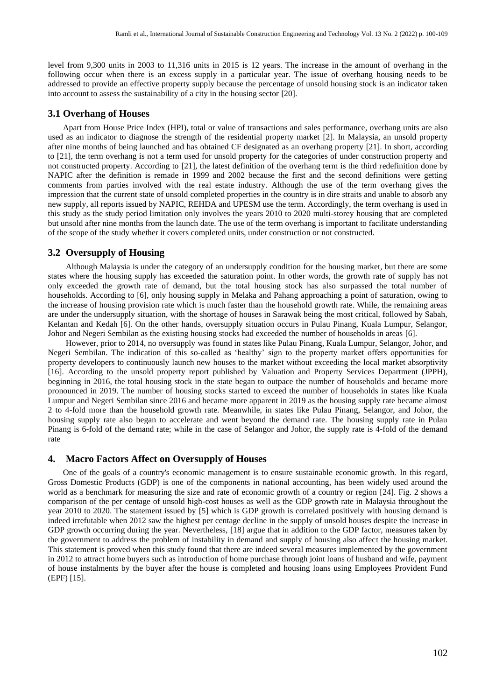level from 9,300 units in 2003 to 11,316 units in 2015 is 12 years. The increase in the amount of overhang in the following occur when there is an excess supply in a particular year. The issue of overhang housing needs to be addressed to provide an effective property supply because the percentage of unsold housing stock is an indicator taken into account to assess the sustainability of a city in the housing sector [20].

#### **3.1 Overhang of Houses**

Apart from House Price Index (HPI), total or value of transactions and sales performance, overhang units are also used as an indicator to diagnose the strength of the residential property market [2]. In Malaysia, an unsold property after nine months of being launched and has obtained CF designated as an overhang property [21]. In short, according to [21], the term overhang is not a term used for unsold property for the categories of under construction property and not constructed property. According to [21], the latest definition of the overhang term is the third redefinition done by NAPIC after the definition is remade in 1999 and 2002 because the first and the second definitions were getting comments from parties involved with the real estate industry. Although the use of the term overhang gives the impression that the current state of unsold completed properties in the country is in dire straits and unable to absorb any new supply, all reports issued by NAPIC, REHDA and UPESM use the term. Accordingly, the term overhang is used in this study as the study period limitation only involves the years 2010 to 2020 multi-storey housing that are completed but unsold after nine months from the launch date. The use of the term overhang is important to facilitate understanding of the scope of the study whether it covers completed units, under construction or not constructed.

## **3.2 Oversupply of Housing**

Although Malaysia is under the category of an undersupply condition for the housing market, but there are some states where the housing supply has exceeded the saturation point. In other words, the growth rate of supply has not only exceeded the growth rate of demand, but the total housing stock has also surpassed the total number of households. According to [6], only housing supply in Melaka and Pahang approaching a point of saturation, owing to the increase of housing provision rate which is much faster than the household growth rate. While, the remaining areas are under the undersupply situation, with the shortage of houses in Sarawak being the most critical, followed by Sabah, Kelantan and Kedah [6]. On the other hands, oversupply situation occurs in Pulau Pinang, Kuala Lumpur, Selangor, Johor and Negeri Sembilan as the existing housing stocks had exceeded the number of households in areas [6].

However, prior to 2014, no oversupply was found in states like Pulau Pinang, Kuala Lumpur, Selangor, Johor, and Negeri Sembilan. The indication of this so-called as 'healthy' sign to the property market offers opportunities for property developers to continuously launch new houses to the market without exceeding the local market absorptivity [16]. According to the unsold property report published by Valuation and Property Services Department (JPPH), beginning in 2016, the total housing stock in the state began to outpace the number of households and became more pronounced in 2019. The number of housing stocks started to exceed the number of households in states like Kuala Lumpur and Negeri Sembilan since 2016 and became more apparent in 2019 as the housing supply rate became almost 2 to 4-fold more than the household growth rate. Meanwhile, in states like Pulau Pinang, Selangor, and Johor, the housing supply rate also began to accelerate and went beyond the demand rate. The housing supply rate in Pulau Pinang is 6-fold of the demand rate; while in the case of Selangor and Johor, the supply rate is 4-fold of the demand rate

#### **4. Macro Factors Affect on Oversupply of Houses**

One of the goals of a country's economic management is to ensure sustainable economic growth. In this regard, Gross Domestic Products (GDP) is one of the components in national accounting, has been widely used around the world as a benchmark for measuring the size and rate of economic growth of a country or region [24]. Fig. 2 shows a comparison of the per centage of unsold high-cost houses as well as the GDP growth rate in Malaysia throughout the year 2010 to 2020. The statement issued by [5] which is GDP growth is correlated positively with housing demand is indeed irrefutable when 2012 saw the highest per centage decline in the supply of unsold houses despite the increase in GDP growth occurring during the year. Nevertheless, [18] argue that in addition to the GDP factor, measures taken by the government to address the problem of instability in demand and supply of housing also affect the housing market. This statement is proved when this study found that there are indeed several measures implemented by the government in 2012 to attract home buyers such as introduction of home purchase through joint loans of husband and wife, payment of house instalments by the buyer after the house is completed and housing loans using Employees Provident Fund (EPF) [15].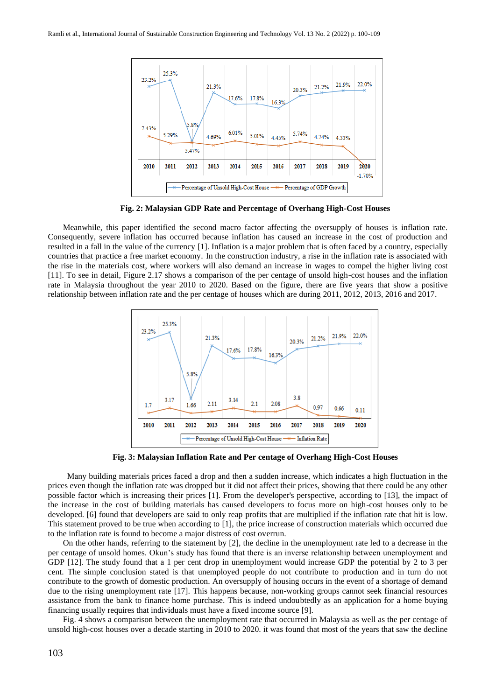

**Fig. 2: Malaysian GDP Rate and Percentage of Overhang High-Cost Houses**

Meanwhile, this paper identified the second macro factor affecting the oversupply of houses is inflation rate. Consequently, severe inflation has occurred because inflation has caused an increase in the cost of production and resulted in a fall in the value of the currency [1]. Inflation is a major problem that is often faced by a country, especially countries that practice a free market economy. In the construction industry, a rise in the inflation rate is associated with the rise in the materials cost, where workers will also demand an increase in wages to compel the higher living cost [11]. To see in detail, Figure 2.17 shows a comparison of the per centage of unsold high-cost houses and the inflation rate in Malaysia throughout the year 2010 to 2020. Based on the figure, there are five years that show a positive relationship between inflation rate and the per centage of houses which are during 2011, 2012, 2013, 2016 and 2017.



**Fig. 3: Malaysian Inflation Rate and Per centage of Overhang High-Cost Houses**

 Many building materials prices faced a drop and then a sudden increase, which indicates a high fluctuation in the prices even though the inflation rate was dropped but it did not affect their prices, showing that there could be any other possible factor which is increasing their prices [1]. From the developer's perspective, according to [13], the impact of the increase in the cost of building materials has caused developers to focus more on high-cost houses only to be developed. [6] found that developers are said to only reap profits that are multiplied if the inflation rate that hit is low. This statement proved to be true when according to [1], the price increase of construction materials which occurred due to the inflation rate is found to become a major distress of cost overrun.

On the other hands, referring to the statement by [2], the decline in the unemployment rate led to a decrease in the per centage of unsold homes. Okun's study has found that there is an inverse relationship between unemployment and GDP [12]. The study found that a 1 per cent drop in unemployment would increase GDP the potential by 2 to 3 per cent. The simple conclusion stated is that unemployed people do not contribute to production and in turn do not contribute to the growth of domestic production. An oversupply of housing occurs in the event of a shortage of demand due to the rising unemployment rate [17]. This happens because, non-working groups cannot seek financial resources assistance from the bank to finance home purchase. This is indeed undoubtedly as an application for a home buying financing usually requires that individuals must have a fixed income source [9].

Fig. 4 shows a comparison between the unemployment rate that occurred in Malaysia as well as the per centage of unsold high-cost houses over a decade starting in 2010 to 2020. it was found that most of the years that saw the decline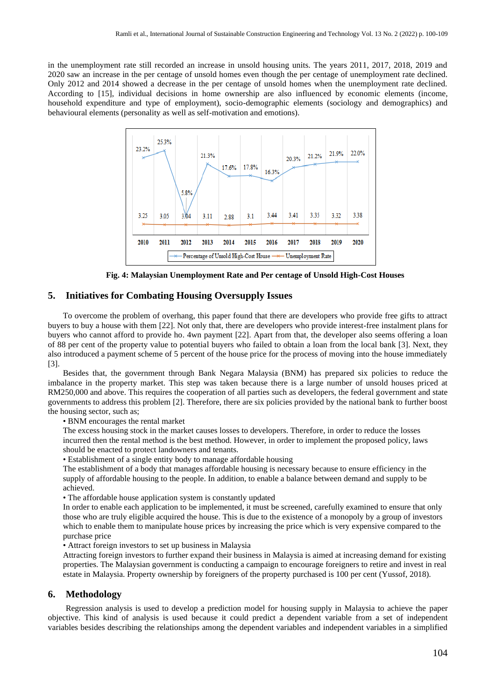in the unemployment rate still recorded an increase in unsold housing units. The years 2011, 2017, 2018, 2019 and 2020 saw an increase in the per centage of unsold homes even though the per centage of unemployment rate declined. Only 2012 and 2014 showed a decrease in the per centage of unsold homes when the unemployment rate declined. According to [15], individual decisions in home ownership are also influenced by economic elements (income, household expenditure and type of employment), socio-demographic elements (sociology and demographics) and behavioural elements (personality as well as self-motivation and emotions).



**Fig. 4: Malaysian Unemployment Rate and Per centage of Unsold High-Cost Houses**

## **5. Initiatives for Combating Housing Oversupply Issues**

To overcome the problem of overhang, this paper found that there are developers who provide free gifts to attract buyers to buy a house with them [22]. Not only that, there are developers who provide interest-free instalment plans for buyers who cannot afford to provide ho. 4wn payment [22]. Apart from that, the developer also seems offering a loan of 88 per cent of the property value to potential buyers who failed to obtain a loan from the local bank [3]. Next, they also introduced a payment scheme of 5 percent of the house price for the process of moving into the house immediately [3].

Besides that, the government through Bank Negara Malaysia (BNM) has prepared six policies to reduce the imbalance in the property market. This step was taken because there is a large number of unsold houses priced at RM250,000 and above. This requires the cooperation of all parties such as developers, the federal government and state governments to address this problem [2]. Therefore, there are six policies provided by the national bank to further boost the housing sector, such as;

• BNM encourages the rental market

The excess housing stock in the market causes losses to developers. Therefore, in order to reduce the losses incurred then the rental method is the best method. However, in order to implement the proposed policy, laws should be enacted to protect landowners and tenants.

• Establishment of a single entity body to manage affordable housing

The establishment of a body that manages affordable housing is necessary because to ensure efficiency in the supply of affordable housing to the people. In addition, to enable a balance between demand and supply to be achieved.

• The affordable house application system is constantly updated

In order to enable each application to be implemented, it must be screened, carefully examined to ensure that only those who are truly eligible acquired the house. This is due to the existence of a monopoly by a group of investors which to enable them to manipulate house prices by increasing the price which is very expensive compared to the purchase price

• Attract foreign investors to set up business in Malaysia

Attracting foreign investors to further expand their business in Malaysia is aimed at increasing demand for existing properties. The Malaysian government is conducting a campaign to encourage foreigners to retire and invest in real estate in Malaysia. Property ownership by foreigners of the property purchased is 100 per cent (Yussof, 2018).

## **6. Methodology**

Regression analysis is used to develop a prediction model for housing supply in Malaysia to achieve the paper objective. This kind of analysis is used because it could predict a dependent variable from a set of independent variables besides describing the relationships among the dependent variables and independent variables in a simplified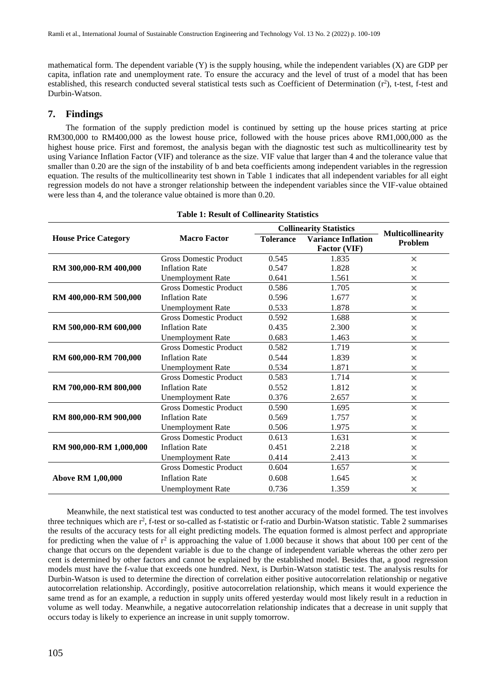mathematical form. The dependent variable (Y) is the supply housing, while the independent variables (X) are GDP per capita, inflation rate and unemployment rate. To ensure the accuracy and the level of trust of a model that has been established, this research conducted several statistical tests such as Coefficient of Determination (r<sup>2</sup>), t-test, f-test and Durbin-Watson.

## **7. Findings**

The formation of the supply prediction model is continued by setting up the house prices starting at price RM300,000 to RM400,000 as the lowest house price, followed with the house prices above RM1,000,000 as the highest house price. First and foremost, the analysis began with the diagnostic test such as multicollinearity test by using Variance Inflation Factor (VIF) and tolerance as the size. VIF value that larger than 4 and the tolerance value that smaller than 0.20 are the sign of the instability of b and beta coefficients among independent variables in the regression equation. The results of the multicollinearity test shown in Table 1 indicates that all independent variables for all eight regression models do not have a stronger relationship between the independent variables since the VIF-value obtained were less than 4, and the tolerance value obtained is more than 0.20.

|                             |                               | <b>Collinearity Statistics</b> |                                           |                                     |
|-----------------------------|-------------------------------|--------------------------------|-------------------------------------------|-------------------------------------|
| <b>House Price Category</b> | <b>Macro Factor</b>           | <b>Tolerance</b>               | <b>Variance Inflation</b><br>Factor (VIF) | <b>Multicollinearity</b><br>Problem |
| RM 300,000-RM 400,000       | <b>Gross Domestic Product</b> | 0.545                          | 1.835                                     | ×                                   |
|                             | <b>Inflation Rate</b>         | 0.547                          | 1.828                                     | ×                                   |
|                             | <b>Unemployment Rate</b>      | 0.641                          | 1.561                                     | ×                                   |
|                             | <b>Gross Domestic Product</b> | 0.586                          | 1.705                                     | ×                                   |
| RM 400,000-RM 500,000       | <b>Inflation Rate</b>         | 0.596                          | 1.677                                     | ×                                   |
|                             | <b>Unemployment Rate</b>      | 0.533                          | 1.878                                     | ×                                   |
|                             | <b>Gross Domestic Product</b> | 0.592                          | 1.688                                     | ×                                   |
| RM 500,000-RM 600,000       | <b>Inflation Rate</b>         | 0.435                          | 2.300                                     | ×                                   |
|                             | <b>Unemployment Rate</b>      | 0.683                          | 1.463                                     | ×                                   |
| RM 600,000-RM 700,000       | <b>Gross Domestic Product</b> | 0.582                          | 1.719                                     | ×                                   |
|                             | <b>Inflation Rate</b>         | 0.544                          | 1.839                                     | ×                                   |
|                             | <b>Unemployment Rate</b>      | 0.534                          | 1.871                                     | ×                                   |
|                             | <b>Gross Domestic Product</b> | 0.583                          | 1.714                                     | ×                                   |
| RM 700,000-RM 800,000       | <b>Inflation Rate</b>         | 0.552                          | 1.812                                     | ×                                   |
|                             | <b>Unemployment Rate</b>      | 0.376                          | 2.657                                     | ×                                   |
| RM 800,000-RM 900,000       | <b>Gross Domestic Product</b> | 0.590                          | 1.695                                     | ×                                   |
|                             | <b>Inflation Rate</b>         | 0.569                          | 1.757                                     | ×                                   |
|                             | <b>Unemployment Rate</b>      | 0.506                          | 1.975                                     | ×                                   |
|                             | <b>Gross Domestic Product</b> | 0.613                          | 1.631                                     | ×                                   |
| RM 900,000-RM 1,000,000     | <b>Inflation Rate</b>         | 0.451                          | 2.218                                     | ×                                   |
|                             | <b>Unemployment Rate</b>      | 0.414                          | 2.413                                     | ×                                   |
| <b>Above RM 1,00,000</b>    | <b>Gross Domestic Product</b> | 0.604                          | 1.657                                     | ×                                   |
|                             | <b>Inflation Rate</b>         | 0.608                          | 1.645                                     | ×                                   |
|                             | <b>Unemployment Rate</b>      | 0.736                          | 1.359                                     | ×                                   |

## **Table 1: Result of Collinearity Statistics**

 Meanwhile, the next statistical test was conducted to test another accuracy of the model formed. The test involves three techniques which are  $r^2$ , f-test or so-called as f-statistic or f-ratio and Durbin-Watson statistic. Table 2 summarises the results of the accuracy tests for all eight predicting models. The equation formed is almost perfect and appropriate for predicting when the value of  $r^2$  is approaching the value of 1.000 because it shows that about 100 per cent of the change that occurs on the dependent variable is due to the change of independent variable whereas the other zero per cent is determined by other factors and cannot be explained by the established model. Besides that, a good regression models must have the f-value that exceeds one hundred. Next, is Durbin-Watson statistic test. The analysis results for Durbin-Watson is used to determine the direction of correlation either positive autocorrelation relationship or negative autocorrelation relationship. Accordingly, positive autocorrelation relationship, which means it would experience the same trend as for an example, a reduction in supply units offered yesterday would most likely result in a reduction in volume as well today. Meanwhile, a negative autocorrelation relationship indicates that a decrease in unit supply that occurs today is likely to experience an increase in unit supply tomorrow.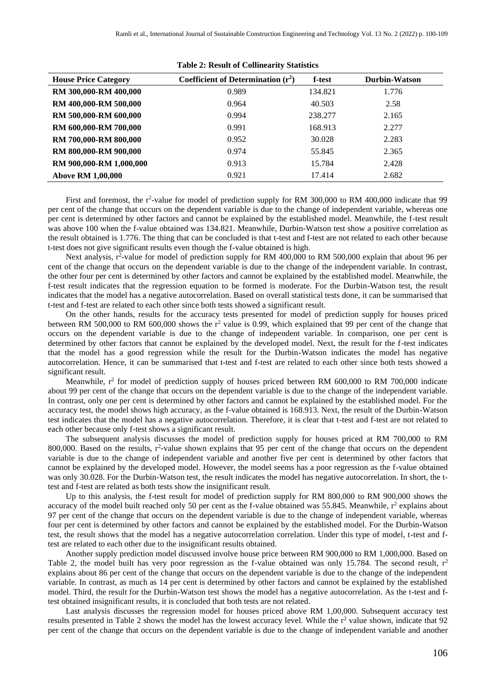| <b>House Price Category</b> | Coefficient of Determination $(r^2)$ | f-test  | <b>Durbin-Watson</b> |
|-----------------------------|--------------------------------------|---------|----------------------|
| RM 300,000-RM 400,000       | 0.989                                | 134.821 | 1.776                |
| RM 400,000-RM 500,000       | 0.964                                | 40.503  | 2.58                 |
| RM 500,000-RM 600,000       | 0.994                                | 238.277 | 2.165                |
| RM 600,000-RM 700,000       | 0.991                                | 168.913 | 2.277                |
| RM 700,000-RM 800,000       | 0.952                                | 30.028  | 2.283                |
| RM 800,000-RM 900,000       | 0.974                                | 55.845  | 2.365                |
| RM 900,000-RM 1,000,000     | 0.913                                | 15.784  | 2.428                |
| <b>Above RM 1,00,000</b>    | 0.921                                | 17.414  | 2.682                |

**Table 2: Result of Collinearity Statistics**

First and foremost, the r<sup>2</sup>-value for model of prediction supply for RM 300,000 to RM 400,000 indicate that 99 per cent of the change that occurs on the dependent variable is due to the change of independent variable, whereas one per cent is determined by other factors and cannot be explained by the established model. Meanwhile, the f-test result was above 100 when the f-value obtained was 134.821. Meanwhile, Durbin-Watson test show a positive correlation as the result obtained is 1.776. The thing that can be concluded is that t-test and f-test are not related to each other because t-test does not give significant results even though the f-value obtained is high.

Next analysis, r<sup>2</sup>-value for model of prediction supply for RM 400,000 to RM 500,000 explain that about 96 per cent of the change that occurs on the dependent variable is due to the change of the independent variable. In contrast, the other four per cent is determined by other factors and cannot be explained by the established model. Meanwhile, the f-test result indicates that the regression equation to be formed is moderate. For the Durbin-Watson test, the result indicates that the model has a negative autocorrelation. Based on overall statistical tests done, it can be summarised that t-test and f-test are related to each other since both tests showed a significant result.

On the other hands, results for the accuracy tests presented for model of prediction supply for houses priced between RM 500,000 to RM 600,000 shows the  $r^2$  value is 0.99, which explained that 99 per cent of the change that occurs on the dependent variable is due to the change of independent variable. In comparison, one per cent is determined by other factors that cannot be explained by the developed model. Next, the result for the f-test indicates that the model has a good regression while the result for the Durbin-Watson indicates the model has negative autocorrelation. Hence, it can be summarised that t-test and f-test are related to each other since both tests showed a significant result.

Meanwhile,  $r^2$  for model of prediction supply of houses priced between RM 600,000 to RM 700,000 indicate about 99 per cent of the change that occurs on the dependent variable is due to the change of the independent variable. In contrast, only one per cent is determined by other factors and cannot be explained by the established model. For the accuracy test, the model shows high accuracy, as the f-value obtained is 168.913. Next, the result of the Durbin-Watson test indicates that the model has a negative autocorrelation. Therefore, it is clear that t-test and f-test are not related to each other because only f-test shows a significant result.

The subsequent analysis discusses the model of prediction supply for houses priced at RM 700,000 to RM 800,000. Based on the results,  $r^2$ -value shown explains that 95 per cent of the change that occurs on the dependent variable is due to the change of independent variable and another five per cent is determined by other factors that cannot be explained by the developed model. However, the model seems has a poor regression as the f-value obtained was only 30.028. For the Durbin-Watson test, the result indicates the model has negative autocorrelation. In short, the ttest and f-test are related as both tests show the insignificant result.

Up to this analysis, the f-test result for model of prediction supply for RM 800,000 to RM 900,000 shows the accuracy of the model built reached only 50 per cent as the f-value obtained was 55.845. Meanwhile,  $r^2$  explains about 97 per cent of the change that occurs on the dependent variable is due to the change of independent variable, whereas four per cent is determined by other factors and cannot be explained by the established model. For the Durbin-Watson test, the result shows that the model has a negative autocorrelation correlation. Under this type of model, t-test and ftest are related to each other due to the insignificant results obtained.

Another supply prediction model discussed involve house price between RM 900,000 to RM 1,000,000. Based on Table 2, the model built has very poor regression as the f-value obtained was only 15.784. The second result,  $r^2$ explains about 86 per cent of the change that occurs on the dependent variable is due to the change of the independent variable. In contrast, as much as 14 per cent is determined by other factors and cannot be explained by the established model. Third, the result for the Durbin-Watson test shows the model has a negative autocorrelation. As the t-test and ftest obtained insignificant results, it is concluded that both tests are not related.

Last analysis discusses the regression model for houses priced above RM 1,00,000. Subsequent accuracy test results presented in Table 2 shows the model has the lowest accuracy level. While the  $r<sup>2</sup>$  value shown, indicate that 92 per cent of the change that occurs on the dependent variable is due to the change of independent variable and another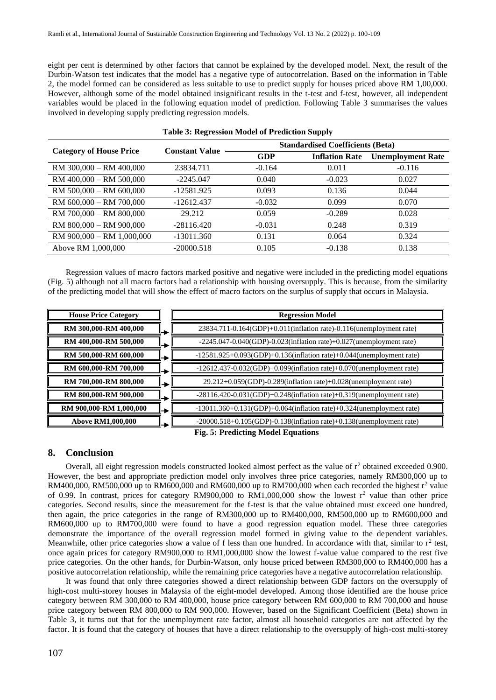eight per cent is determined by other factors that cannot be explained by the developed model. Next, the result of the Durbin-Watson test indicates that the model has a negative type of autocorrelation. Based on the information in Table 2, the model formed can be considered as less suitable to use to predict supply for houses priced above RM 1,00,000. However, although some of the model obtained insignificant results in the t-test and f-test, however, all independent variables would be placed in the following equation model of prediction. Following Table 3 summarises the values involved in developing supply predicting regression models.

| <b>Category of House Price</b> | <b>Constant Value</b> |          | <b>Standardised Coefficients (Beta)</b> |                          |  |
|--------------------------------|-----------------------|----------|-----------------------------------------|--------------------------|--|
|                                |                       | GDP      | <b>Inflation Rate</b>                   | <b>Unemployment Rate</b> |  |
| RM 300,000 - RM 400,000        | 23834.711             | $-0.164$ | 0.011                                   | $-0.116$                 |  |
| RM 400,000 - RM 500,000        | $-2245.047$           | 0.040    | $-0.023$                                | 0.027                    |  |
| RM 500,000 - RM 600,000        | $-12581.925$          | 0.093    | 0.136                                   | 0.044                    |  |
| RM 600,000 - RM 700,000        | $-12612.437$          | $-0.032$ | 0.099                                   | 0.070                    |  |
| RM 700,000 - RM 800,000        | 29.212                | 0.059    | $-0.289$                                | 0.028                    |  |
| RM 800,000 - RM 900,000        | $-28116.420$          | $-0.031$ | 0.248                                   | 0.319                    |  |
| RM 900,000 - RM 1,000,000      | $-13011.360$          | 0.131    | 0.064                                   | 0.324                    |  |
| Above RM 1,000,000             | $-20000.518$          | 0.105    | $-0.138$                                | 0.138                    |  |

### **Table 3: Regression Model of Prediction Supply**

Regression values of macro factors marked positive and negative were included in the predicting model equations (Fig. 5) although not all macro factors had a relationship with housing oversupply. This is because, from the similarity of the predicting model that will show the effect of macro factors on the surplus of supply that occurs in Malaysia.

| <b>House Price Category</b> |   | <b>Regression Model</b>                                                            |
|-----------------------------|---|------------------------------------------------------------------------------------|
| RM 300,000-RM 400,000       |   | $23834.711 - 0.164$ (GDP)+0.011(inflation rate)-0.116(unemployment rate)           |
| RM 400,000-RM 500,000       |   | $-2245.047 - 0.040$ (GDP) $-0.023$ (inflation rate) $+0.027$ (unemployment rate)   |
| RM 500,000-RM 600,000       | ∽ | $-12581.925+0.093(GDP)+0.136(inflation rate)+0.044(unemboyment rate)$              |
| RM 600,000-RM 700,000       |   | $-12612.437 - 0.032(GDP) + 0.099($ inflation rate $)+0.070($ unemployment rate $)$ |
| RM 700,000-RM 800,000       |   | 29.212+0.059(GDP)-0.289(inflation rate)+0.028(unemployment rate)                   |
| RM 800,000-RM 900,000       |   | $-28116.420 - 0.031(GDP) + 0.248($ inflation rate $)+0.319($ unemployment rate $)$ |
| RM 900,000-RM 1,000,000     | ⊢ | $-13011.360+0.131(GDP)+0.064(inflation rate)+0.324(unemboyment rate)$              |
| <b>Above RM1,000,000</b>    |   | $-20000.518+0.105$ (GDP) $-0.138$ (inflation rate) $+0.138$ (unemployment rate)    |

**Fig. 5: Predicting Model Equations**

## **8. Conclusion**

Overall, all eight regression models constructed looked almost perfect as the value of  $r^2$  obtained exceeded 0.900. However, the best and appropriate prediction model only involves three price categories, namely RM300,000 up to RM400,000, RM500,000 up to RM600,000 and RM600,000 up to RM700,000 when each recorded the highest  $r^2$  value of 0.99. In contrast, prices for category RM900,000 to RM1,000,000 show the lowest  $r^2$  value than other price categories. Second results, since the measurement for the f-test is that the value obtained must exceed one hundred, then again, the price categories in the range of RM300,000 up to RM400,000, RM500,000 up to RM600,000 and RM600,000 up to RM700,000 were found to have a good regression equation model. These three categories demonstrate the importance of the overall regression model formed in giving value to the dependent variables. Meanwhile, other price categories show a value of f less than one hundred. In accordance with that, similar to  $r^2$  test, once again prices for category RM900,000 to RM1,000,000 show the lowest f-value value compared to the rest five price categories. On the other hands, for Durbin-Watson, only house priced between RM300,000 to RM400,000 has a positive autocorrelation relationship, while the remaining price categories have a negative autocorrelation relationship.

It was found that only three categories showed a direct relationship between GDP factors on the oversupply of high-cost multi-storey houses in Malaysia of the eight-model developed. Among those identified are the house price category between RM 300,000 to RM 400,000, house price category between RM 600,000 to RM 700,000 and house price category between RM 800,000 to RM 900,000. However, based on the Significant Coefficient (Beta) shown in Table 3, it turns out that for the unemployment rate factor, almost all household categories are not affected by the factor. It is found that the category of houses that have a direct relationship to the oversupply of high-cost multi-storey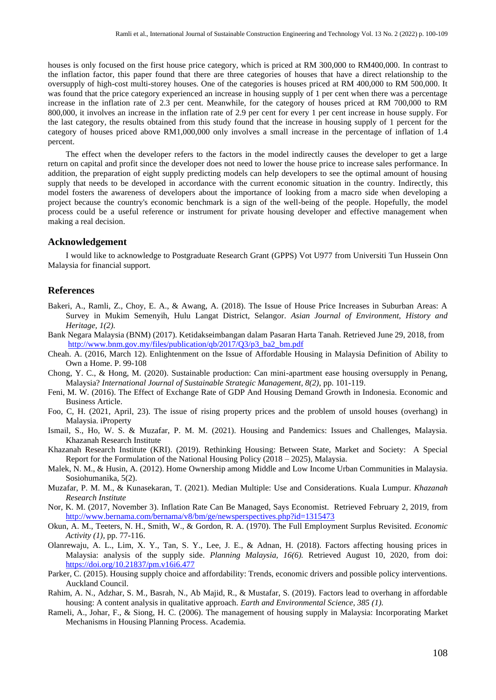houses is only focused on the first house price category, which is priced at RM 300,000 to RM400,000. In contrast to the inflation factor, this paper found that there are three categories of houses that have a direct relationship to the oversupply of high-cost multi-storey houses. One of the categories is houses priced at RM 400,000 to RM 500,000. It was found that the price category experienced an increase in housing supply of 1 per cent when there was a percentage increase in the inflation rate of 2.3 per cent. Meanwhile, for the category of houses priced at RM 700,000 to RM 800,000, it involves an increase in the inflation rate of 2.9 per cent for every 1 per cent increase in house supply. For the last category, the results obtained from this study found that the increase in housing supply of 1 percent for the category of houses priced above RM1,000,000 only involves a small increase in the percentage of inflation of 1.4 percent.

The effect when the developer refers to the factors in the model indirectly causes the developer to get a large return on capital and profit since the developer does not need to lower the house price to increase sales performance. In addition, the preparation of eight supply predicting models can help developers to see the optimal amount of housing supply that needs to be developed in accordance with the current economic situation in the country. Indirectly, this model fosters the awareness of developers about the importance of looking from a macro side when developing a project because the country's economic benchmark is a sign of the well-being of the people. Hopefully, the model process could be a useful reference or instrument for private housing developer and effective management when making a real decision.

#### **Acknowledgement**

I would like to acknowledge to Postgraduate Research Grant (GPPS) Vot U977 from Universiti Tun Hussein Onn Malaysia for financial support.

## **References**

- Bakeri, A., Ramli, Z., Choy, E. A., & Awang, A. (2018). The Issue of House Price Increases in Suburban Areas: A Survey in Mukim Semenyih, Hulu Langat District, Selangor. *Asian Journal of Environment, History and Heritage, 1(2).*
- Bank Negara Malaysia (BNM) (2017). Ketidakseimbangan dalam Pasaran Harta Tanah. Retrieved June 29, 2018, from [http://www.bnm.gov.my/files/publication/qb/2017/Q3/p3\\_ba2\\_bm.pdf](http://www.bnm.gov.my/files/publication/qb/2017/Q3/p3_ba2_bm.pdf)
- Cheah. A. (2016, March 12). Enlightenment on the Issue of Affordable Housing in Malaysia Definition of Ability to Own a Home. P. 99-108
- Chong, Y. C., & Hong, M. (2020). Sustainable production: Can mini-apartment ease housing oversupply in Penang, Malaysia? *International Journal of Sustainable Strategic Management, 8(2),* pp. 101-119.
- Feni, M. W. (2016). The Effect of Exchange Rate of GDP And Housing Demand Growth in Indonesia. Economic and Business Article.
- Foo, C, H. (2021, April, 23). The issue of rising property prices and the problem of unsold houses (overhang) in Malaysia. iProperty
- Ismail, S., Ho, W. S. & Muzafar, P. M. M. (2021). Housing and Pandemics: Issues and Challenges, Malaysia. Khazanah Research Institute
- Khazanah Research Institute (KRI). (2019). Rethinking Housing: Between State, Market and Society: A Special Report for the Formulation of the National Housing Policy (2018 – 2025), Malaysia.
- Malek, N. M., & Husin, A. (2012). Home Ownership among Middle and Low Income Urban Communities in Malaysia. Sosiohumanika, 5(2).
- Muzafar, P. M. M., & Kunasekaran, T. (2021). Median Multiple: Use and Considerations. Kuala Lumpur*. Khazanah Research Institute*
- Nor, K. M. (2017, November 3). Inflation Rate Can Be Managed, Says Economist. Retrieved February 2, 2019, from <http://www.bernama.com/bernama/v8/bm/ge/newsperspectives.php?id=1315473>
- Okun, A. M., Teeters, N. H., Smith, W., & Gordon, R. A. (1970). The Full Employment Surplus Revisited. *Economic Activity (1)*, pp. 77-116.
- Olanrewaju, A. L., Lim, X. Y., Tan, S. Y., Lee, J. E., & Adnan, H. (2018). Factors affecting housing prices in Malaysia: analysis of the supply side. *Planning Malaysia, 16(6).* Retrieved August 10, 2020, from doi: <https://doi.org/10.21837/pm.v16i6.477>
- Parker, C. (2015). Housing supply choice and affordability: Trends, economic drivers and possible policy interventions. Auckland Council.
- Rahim, A. N., Adzhar, S. M., Basrah, N., Ab Majid, R., & Mustafar, S. (2019). Factors lead to overhang in affordable housing: A content analysis in qualitative approach. *Earth and Environmental Science, 385 (1).*
- Rameli, A., Johar, F., & Siong, H. C. (2006). The management of housing supply in Malaysia: Incorporating Market Mechanisms in Housing Planning Process. Academia.